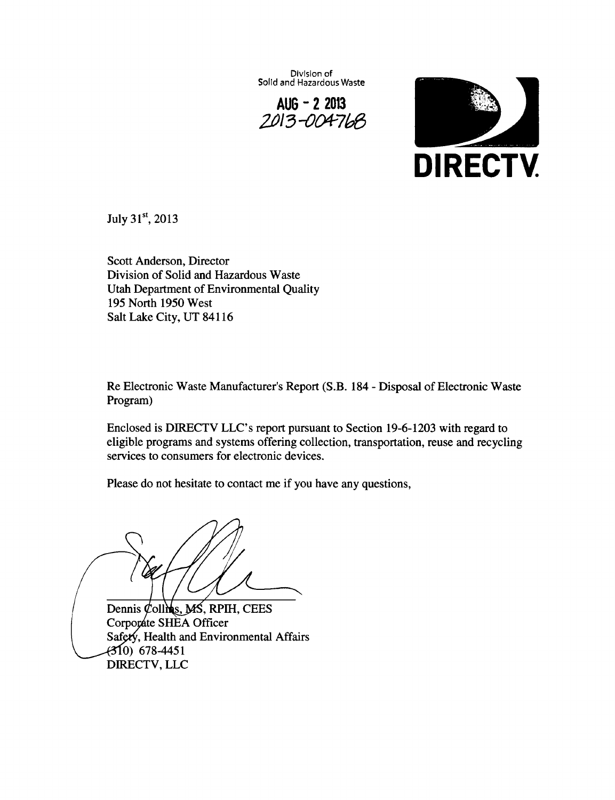**Division of Solid and Hazardous Waste** 

**AUG - 2 2013** 



July  $31^{\rm st}$ , 2013

Scott Anderson, Director Division of Solid and Hazardous Waste Utah Department of Environmental Quality 195 North 1950 West Salt Lake City, UT 84116

Re Electronic Waste Manufacturer's Report (S.B. 184 - Disposal of Electronic Waste Program)

Enclosed is DIRECTV LLC's report pursuant to Section 19-6-1203 with regard to eligible programs and systems offering collection, transportation, reuse and recycling services to consumers for electronic devices.

Please do not hesitate to contact me if you have any questions,

Dennis  $\&$  ollins, MS, RPIH, CEES Corporate SHEA Officer Safety, Health and Environmental Affairs

 $(310)$  678-4451 DIRECTV, LLC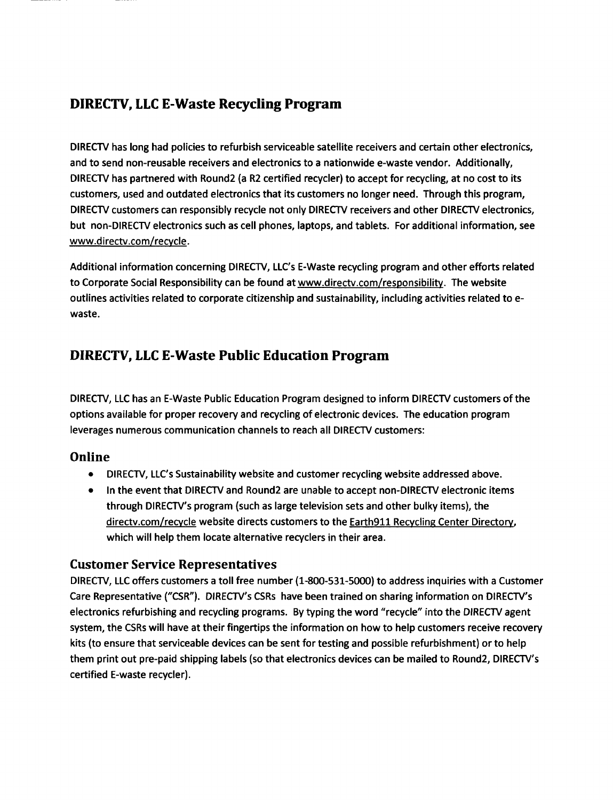# **DIRECTV, LLC E-Waste Recycling Program**

DIRECTV has long had policies to refurbish serviceable satellite receivers and certain other electronics, and to send non-reusable receivers and electronics to a nationwide e-waste vendor. Additionally, DIRECTV has partnered with Round2 (a R2 certified recycler) to accept for recycling, at no cost to its customers, used and outdated electronics that its customers no longer need. Through this program, DIRECTV customers can responsibly recycle not only DIRECTV receivers and other DIRECTV electronics, but non-DIRECTV electronics such as cell phones, laptops, and tablets. For additional information, see www.directv.com/recvcle.

Additional information concerning DIRECTV, LLC's E-Waste recycling program and other efforts related to Corporate Social Responsibility can be found at www.directv.com/responsibilitv. The website outlines activities related to corporate citizenship and sustainability, including activities related to ewaste.

# **DIRECTV, LLC E-Waste Public Education Program**

DIRECTV, LLC has an E-Waste Public Education Program designed to inform DIRECTV customers of the options available for proper recovery and recycling of electronic devices. The education program leverages numerous communication channels to reach all DIRECTV customers:

## **Online**

- DIRECTV, LLC's Sustainability website and customer recycling website addressed above.
- In the event that DIRECTV and Round2 are unable to accept non-DIRECTV electronic items through DIRECTV'S program (such as large television sets and other bulky items), the directv.com/recycle website directs customers to the Earth911 Recycling Center Directory, which will help them locate alternative recyclers in their area.

#### **Customer Service Representatives**

DIRECTV, LLC offers customers a toll free number (1-800-531-5000) to address inquiries with a Customer Care Representative ("CSR"). DIRECTV'S CSRs have been trained on sharing information on DIRECTV'S electronics refurbishing and recycling programs. By typing the word "recycle" into the DIRECTV agent system, the CSRs will have at their fingertips the information on how to help customers receive recovery kits (to ensure that serviceable devices can be sent for testing and possible refurbishment) or to help them print out pre-paid shipping labels (so that electronics devices can be mailed to Round2, DIRECTV'S certified E-waste recycler).